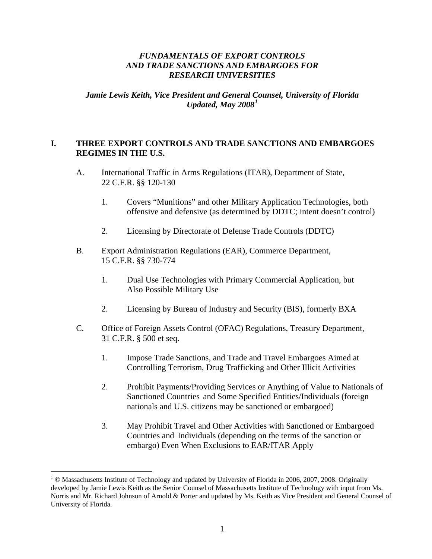### *FUNDAMENTALS OF EXPORT CONTROLS AND TRADE SANCTIONS AND EMBARGOES FOR RESEARCH UNIVERSITIES*

*Jamie Lewis Keith, Vice President and General Counsel, University of Florida Updated, May 2008[1](#page-0-0)*

### **I. THREE EXPORT CONTROLS AND TRADE SANCTIONS AND EMBARGOES REGIMES IN THE U.S.**

- A. International Traffic in Arms Regulations (ITAR), Department of State, 22 C.F.R. §§ 120-130
	- 1. Covers "Munitions" and other Military Application Technologies, both offensive and defensive (as determined by DDTC; intent doesn't control)
	- 2. Licensing by Directorate of Defense Trade Controls (DDTC)
- B. Export Administration Regulations (EAR), Commerce Department, 15 C.F.R. §§ 730-774
	- 1. Dual Use Technologies with Primary Commercial Application, but Also Possible Military Use
	- 2. Licensing by Bureau of Industry and Security (BIS), formerly BXA
- C. Office of Foreign Assets Control (OFAC) Regulations, Treasury Department, 31 C.F.R. § 500 et seq.
	- 1. Impose Trade Sanctions, and Trade and Travel Embargoes Aimed at Controlling Terrorism, Drug Trafficking and Other Illicit Activities
	- 2. Prohibit Payments/Providing Services or Anything of Value to Nationals of Sanctioned Countries and Some Specified Entities/Individuals (foreign nationals and U.S. citizens may be sanctioned or embargoed)
	- 3. May Prohibit Travel and Other Activities with Sanctioned or Embargoed Countries and Individuals (depending on the terms of the sanction or embargo) Even When Exclusions to EAR/ITAR Apply

<span id="page-0-0"></span> $1 \odot$  Massachusetts Institute of Technology and updated by University of Florida in 2006, 2007, 2008. Originally developed by Jamie Lewis Keith as the Senior Counsel of Massachusetts Institute of Technology with input from Ms. Norris and Mr. Richard Johnson of Arnold & Porter and updated by Ms. Keith as Vice President and General Counsel of University of Florida.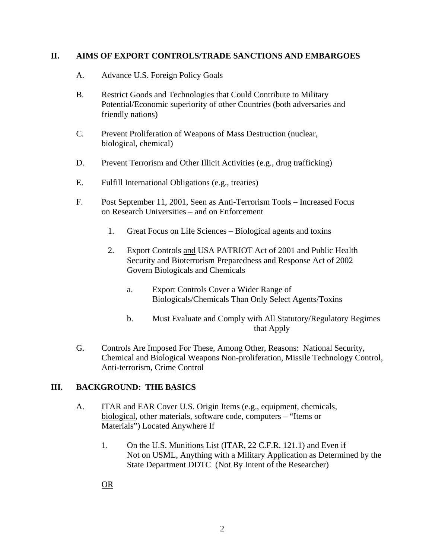#### **II. AIMS OF EXPORT CONTROLS/TRADE SANCTIONS AND EMBARGOES**

- A. Advance U.S. Foreign Policy Goals
- B. Restrict Goods and Technologies that Could Contribute to Military Potential/Economic superiority of other Countries (both adversaries and friendly nations)
- C. Prevent Proliferation of Weapons of Mass Destruction (nuclear, biological, chemical)
- D. Prevent Terrorism and Other Illicit Activities (e.g., drug trafficking)
- E. Fulfill International Obligations (e.g., treaties)
- F. Post September 11, 2001, Seen as Anti-Terrorism Tools Increased Focus on Research Universities – and on Enforcement
	- 1. Great Focus on Life Sciences Biological agents and toxins
	- 2. Export Controls and USA PATRIOT Act of 2001 and Public Health Security and Bioterrorism Preparedness and Response Act of 2002 Govern Biologicals and Chemicals
		- a. Export Controls Cover a Wider Range of Biologicals/Chemicals Than Only Select Agents/Toxins
		- b. Must Evaluate and Comply with All Statutory/Regulatory Regimes that Apply
- G. Controls Are Imposed For These, Among Other, Reasons: National Security, Chemical and Biological Weapons Non-proliferation, Missile Technology Control, Anti-terrorism, Crime Control

### **III. BACKGROUND: THE BASICS**

- A. ITAR and EAR Cover U.S. Origin Items (e.g., equipment, chemicals, biological, other materials, software code, computers – "Items or Materials") Located Anywhere If
	- 1. On the U.S. Munitions List (ITAR, 22 C.F.R. 121.1) and Even if Not on USML, Anything with a Military Application as Determined by the State Department DDTC (Not By Intent of the Researcher)

OR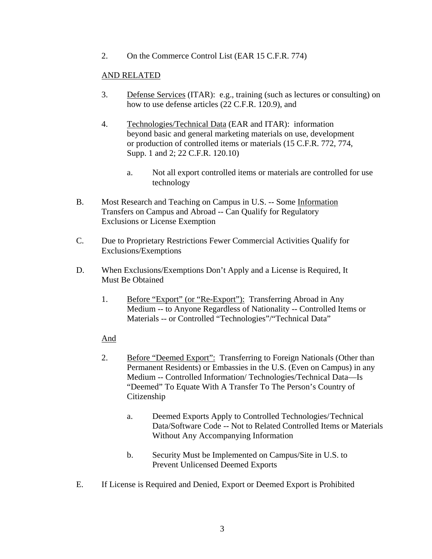2. On the Commerce Control List (EAR 15 C.F.R. 774)

### AND RELATED

- 3. Defense Services (ITAR): e.g., training (such as lectures or consulting) on how to use defense articles (22 C.F.R. 120.9), and
- 4. Technologies/Technical Data (EAR and ITAR): information beyond basic and general marketing materials on use, development or production of controlled items or materials (15 C.F.R. 772, 774, Supp. 1 and 2; 22 C.F.R. 120.10)
	- a. Not all export controlled items or materials are controlled for use technology
- B. Most Research and Teaching on Campus in U.S. -- Some Information Transfers on Campus and Abroad -- Can Qualify for Regulatory Exclusions or License Exemption
- C. Due to Proprietary Restrictions Fewer Commercial Activities Qualify for Exclusions/Exemptions
- D. When Exclusions/Exemptions Don't Apply and a License is Required, It Must Be Obtained
	- 1. Before "Export" (or "Re-Export"): Transferring Abroad in Any Medium -- to Anyone Regardless of Nationality -- Controlled Items or Materials -- or Controlled "Technologies"/"Technical Data"

### And

- 2. Before "Deemed Export": Transferring to Foreign Nationals (Other than Permanent Residents) or Embassies in the U.S. (Even on Campus) in any Medium -- Controlled Information/ Technologies/Technical Data—Is "Deemed" To Equate With A Transfer To The Person's Country of Citizenship
	- a. Deemed Exports Apply to Controlled Technologies/Technical Data/Software Code -- Not to Related Controlled Items or Materials Without Any Accompanying Information
	- b. Security Must be Implemented on Campus/Site in U.S. to Prevent Unlicensed Deemed Exports
- E. If License is Required and Denied, Export or Deemed Export is Prohibited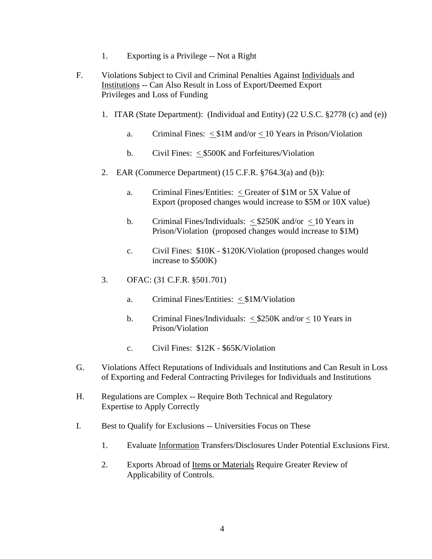- 1. Exporting is a Privilege -- Not a Right
- F. Violations Subject to Civil and Criminal Penalties Against Individuals and Institutions -- Can Also Result in Loss of Export/Deemed Export Privileges and Loss of Funding
	- 1. ITAR (State Department): (Individual and Entity) (22 U.S.C. §2778 (c) and (e))
		- a. Criminal Fines: < \$1M and/or < 10 Years in Prison/Violation
		- b. Civil Fines: < \$500K and Forfeitures/Violation
	- 2. EAR (Commerce Department) (15 C.F.R. §764.3(a) and (b)):
		- a. Criminal Fines/Entities: < Greater of \$1M or 5X Value of Export (proposed changes would increase to \$5M or 10X value)
		- b. Criminal Fines/Individuals:  $\leq$ \$250K and/or  $\leq$  10 Years in Prison/Violation (proposed changes would increase to \$1M)
		- c. Civil Fines: \$10K \$120K/Violation (proposed changes would increase to \$500K)
	- 3. OFAC: (31 C.F.R. §501.701)
		- a. Criminal Fines/Entities: < \$1M/Violation
		- b. Criminal Fines/Individuals:  $\langle$  \$250K and/or  $\langle$  10 Years in Prison/Violation
		- c. Civil Fines: \$12K \$65K/Violation
- G. Violations Affect Reputations of Individuals and Institutions and Can Result in Loss of Exporting and Federal Contracting Privileges for Individuals and Institutions
- H. Regulations are Complex -- Require Both Technical and Regulatory Expertise to Apply Correctly
- I. Best to Qualify for Exclusions -- Universities Focus on These
	- 1. Evaluate Information Transfers/Disclosures Under Potential Exclusions First.
	- 2. Exports Abroad of Items or Materials Require Greater Review of Applicability of Controls.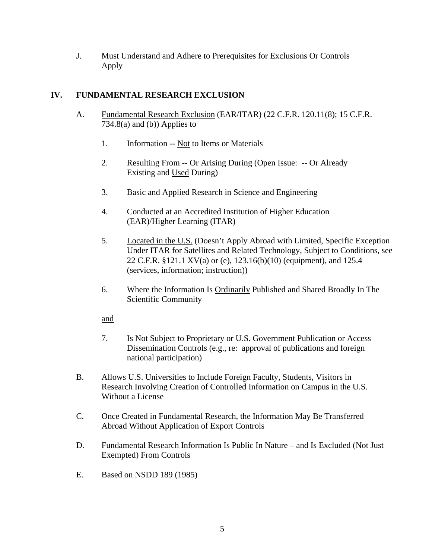J. Must Understand and Adhere to Prerequisites for Exclusions Or Controls Apply

# **IV. FUNDAMENTAL RESEARCH EXCLUSION**

- A. Fundamental Research Exclusion (EAR/ITAR) (22 C.F.R. 120.11(8); 15 C.F.R. 734.8(a) and (b)) Applies to
	- 1. Information -- Not to Items or Materials
	- 2. Resulting From -- Or Arising During (Open Issue: -- Or Already Existing and Used During)
	- 3. Basic and Applied Research in Science and Engineering
	- 4. Conducted at an Accredited Institution of Higher Education (EAR)/Higher Learning (ITAR)
	- 5. Located in the U.S. (Doesn't Apply Abroad with Limited, Specific Exception Under ITAR for Satellites and Related Technology, Subject to Conditions, see 22 C.F.R. §121.1 XV(a) or (e), 123.16(b)(10) (equipment), and 125.4 (services, information; instruction))
	- 6. Where the Information Is Ordinarily Published and Shared Broadly In The Scientific Community

and

- 7. Is Not Subject to Proprietary or U.S. Government Publication or Access Dissemination Controls (e.g., re: approval of publications and foreign national participation)
- B. Allows U.S. Universities to Include Foreign Faculty, Students, Visitors in Research Involving Creation of Controlled Information on Campus in the U.S. Without a License
- C. Once Created in Fundamental Research, the Information May Be Transferred Abroad Without Application of Export Controls
- D. Fundamental Research Information Is Public In Nature and Is Excluded (Not Just Exempted) From Controls
- E. Based on NSDD 189 (1985)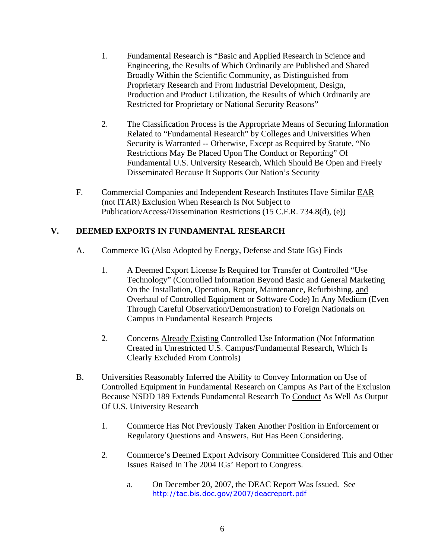- 1. Fundamental Research is "Basic and Applied Research in Science and Engineering, the Results of Which Ordinarily are Published and Shared Broadly Within the Scientific Community, as Distinguished from Proprietary Research and From Industrial Development, Design, Production and Product Utilization, the Results of Which Ordinarily are Restricted for Proprietary or National Security Reasons"
- 2. The Classification Process is the Appropriate Means of Securing Information Related to "Fundamental Research" by Colleges and Universities When Security is Warranted -- Otherwise, Except as Required by Statute, "No Restrictions May Be Placed Upon The Conduct or Reporting" Of Fundamental U.S. University Research, Which Should Be Open and Freely Disseminated Because It Supports Our Nation's Security
- F. Commercial Companies and Independent Research Institutes Have Similar EAR (not ITAR) Exclusion When Research Is Not Subject to Publication/Access/Dissemination Restrictions (15 C.F.R. 734.8(d), (e))

### **V. DEEMED EXPORTS IN FUNDAMENTAL RESEARCH**

- A. Commerce IG (Also Adopted by Energy, Defense and State IGs) Finds
	- 1. A Deemed Export License Is Required for Transfer of Controlled "Use Technology" (Controlled Information Beyond Basic and General Marketing On the Installation, Operation, Repair, Maintenance, Refurbishing, and Overhaul of Controlled Equipment or Software Code) In Any Medium (Even Through Careful Observation/Demonstration) to Foreign Nationals on Campus in Fundamental Research Projects
	- 2. Concerns Already Existing Controlled Use Information (Not Information Created in Unrestricted U.S. Campus/Fundamental Research, Which Is Clearly Excluded From Controls)
- B. Universities Reasonably Inferred the Ability to Convey Information on Use of Controlled Equipment in Fundamental Research on Campus As Part of the Exclusion Because NSDD 189 Extends Fundamental Research To Conduct As Well As Output Of U.S. University Research
	- 1. Commerce Has Not Previously Taken Another Position in Enforcement or Regulatory Questions and Answers, But Has Been Considering.
	- 2. Commerce's Deemed Export Advisory Committee Considered This and Other Issues Raised In The 2004 IGs' Report to Congress.
		- a. On December 20, 2007, the DEAC Report Was Issued. See <http://tac.bis.doc.gov/2007/deacreport.pdf>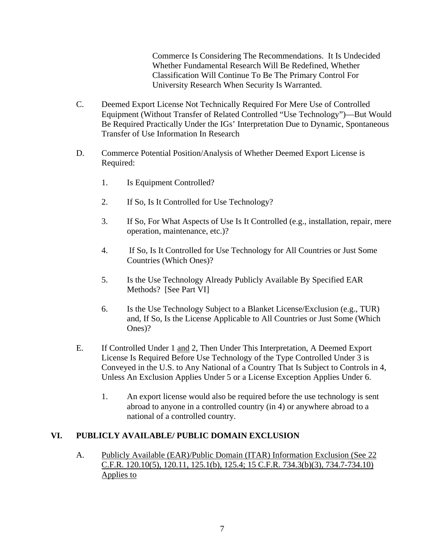Commerce Is Considering The Recommendations. It Is Undecided Whether Fundamental Research Will Be Redefined, Whether Classification Will Continue To Be The Primary Control For University Research When Security Is Warranted.

- C. Deemed Export License Not Technically Required For Mere Use of Controlled Equipment (Without Transfer of Related Controlled "Use Technology")—But Would Be Required Practically Under the IGs' Interpretation Due to Dynamic, Spontaneous Transfer of Use Information In Research
- D. Commerce Potential Position/Analysis of Whether Deemed Export License is Required:
	- 1. Is Equipment Controlled?
	- 2. If So, Is It Controlled for Use Technology?
	- 3. If So, For What Aspects of Use Is It Controlled (e.g., installation, repair, mere operation, maintenance, etc.)?
	- 4. If So, Is It Controlled for Use Technology for All Countries or Just Some Countries (Which Ones)?
	- 5. Is the Use Technology Already Publicly Available By Specified EAR Methods? [See Part VI]
	- 6. Is the Use Technology Subject to a Blanket License/Exclusion (e.g., TUR) and, If So, Is the License Applicable to All Countries or Just Some (Which Ones)?
- E. If Controlled Under 1 and 2, Then Under This Interpretation, A Deemed Export License Is Required Before Use Technology of the Type Controlled Under 3 is Conveyed in the U.S. to Any National of a Country That Is Subject to Controls in 4, Unless An Exclusion Applies Under 5 or a License Exception Applies Under 6.
	- 1. An export license would also be required before the use technology is sent abroad to anyone in a controlled country (in 4) or anywhere abroad to a national of a controlled country.

### **VI. PUBLICLY AVAILABLE/ PUBLIC DOMAIN EXCLUSION**

A. Publicly Available (EAR)/Public Domain (ITAR) Information Exclusion (See 22 C.F.R. 120.10(5), 120.11, 125.1(b), 125.4; 15 C.F.R. 734.3(b)(3), 734.7-734.10) Applies to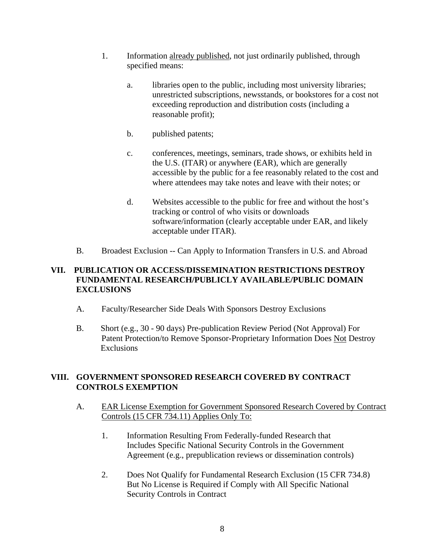- 1. Information already published, not just ordinarily published, through specified means:
	- a. libraries open to the public, including most university libraries; unrestricted subscriptions, newsstands, or bookstores for a cost not exceeding reproduction and distribution costs (including a reasonable profit);
	- b. published patents;
	- c. conferences, meetings, seminars, trade shows, or exhibits held in the U.S. (ITAR) or anywhere (EAR), which are generally accessible by the public for a fee reasonably related to the cost and where attendees may take notes and leave with their notes; or
	- d. Websites accessible to the public for free and without the host's tracking or control of who visits or downloads software/information (clearly acceptable under EAR, and likely acceptable under ITAR).
- B. Broadest Exclusion -- Can Apply to Information Transfers in U.S. and Abroad

### **VII. PUBLICATION OR ACCESS/DISSEMINATION RESTRICTIONS DESTROY FUNDAMENTAL RESEARCH/PUBLICLY AVAILABLE/PUBLIC DOMAIN EXCLUSIONS**

- A. Faculty/Researcher Side Deals With Sponsors Destroy Exclusions
- B. Short (e.g., 30 90 days) Pre-publication Review Period (Not Approval) For Patent Protection/to Remove Sponsor-Proprietary Information Does Not Destroy Exclusions

### **VIII. GOVERNMENT SPONSORED RESEARCH COVERED BY CONTRACT CONTROLS EXEMPTION**

- A. EAR License Exemption for Government Sponsored Research Covered by Contract Controls (15 CFR 734.11) Applies Only To:
	- 1. Information Resulting From Federally-funded Research that Includes Specific National Security Controls in the Government Agreement (e.g., prepublication reviews or dissemination controls)
	- 2. Does Not Qualify for Fundamental Research Exclusion (15 CFR 734.8) But No License is Required if Comply with All Specific National Security Controls in Contract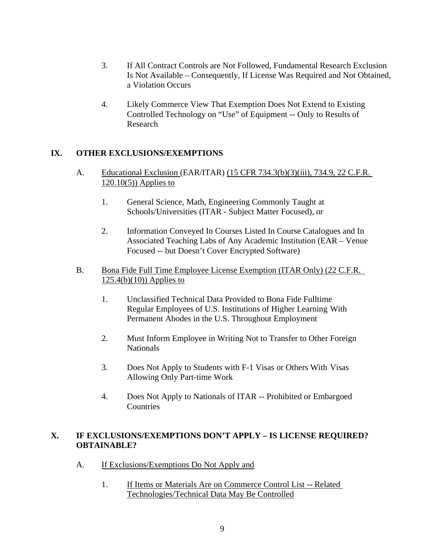- 3. If All Contract Controls are Not Followed, Fundamental Research Exclusion Is Not Available – Consequently, If License Was Required and Not Obtained, a Violation Occurs
- 4. Likely Commerce View That Exemption Does Not Extend to Existing Controlled Technology on "Use" of Equipment -- Only to Results of Research

# **IX. OTHER EXCLUSIONS/EXEMPTIONS**

- A. Educational Exclusion (EAR/ITAR) (15 CFR 734.3(b)(3)(iii), 734.9, 22 C.F.R.  $120.10(5)$ ) Applies to
	- 1. General Science, Math, Engineering Commonly Taught at Schools/Universities (ITAR - Subject Matter Focused), or
	- 2. Information Conveyed In Courses Listed In Course Catalogues and In Associated Teaching Labs of Any Academic Institution (EAR – Venue Focused -- but Doesn't Cover Encrypted Software)

### B. Bona Fide Full Time Employee License Exemption (ITAR Only) (22 C.F.R. 125.4(b)(10)) Applies to

- 1. Unclassified Technical Data Provided to Bona Fide Fulltime Regular Employees of U.S. Institutions of Higher Learning With Permanent Abodes in the U.S. Throughout Employment
- 2. Must Inform Employee in Writing Not to Transfer to Other Foreign **Nationals**
- 3. Does Not Apply to Students with F-1 Visas or Others With Visas Allowing Only Part-time Work
- 4. Does Not Apply to Nationals of ITAR -- Prohibited or Embargoed **Countries**

### **X. IF EXCLUSIONS/EXEMPTIONS DON'T APPLY – IS LICENSE REQUIRED? OBTAINABLE?**

- A. If Exclusions/Exemptions Do Not Apply and
	- 1. If Items or Materials Are on Commerce Control List -- Related Technologies/Technical Data May Be Controlled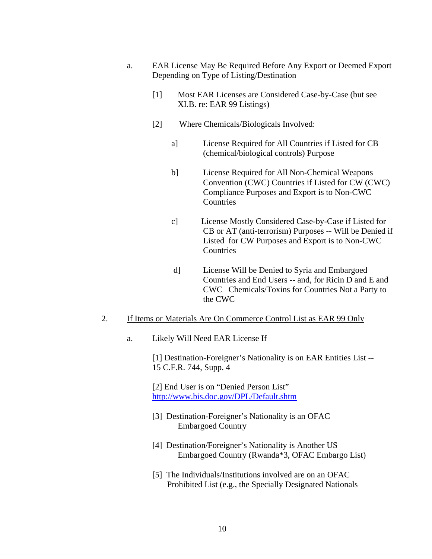- a. EAR License May Be Required Before Any Export or Deemed Export Depending on Type of Listing/Destination
	- [1] Most EAR Licenses are Considered Case-by-Case (but see XI.B. re: EAR 99 Listings)
	- [2] Where Chemicals/Biologicals Involved:
		- a] License Required for All Countries if Listed for CB (chemical/biological controls) Purpose
		- b] License Required for All Non-Chemical Weapons Convention (CWC) Countries if Listed for CW (CWC) Compliance Purposes and Export is to Non-CWC **Countries**
		- c] License Mostly Considered Case-by-Case if Listed for CB or AT (anti-terrorism) Purposes -- Will be Denied if Listed for CW Purposes and Export is to Non-CWC Countries
		- d] License Will be Denied to Syria and Embargoed Countries and End Users -- and, for Ricin D and E and CWC Chemicals/Toxins for Countries Not a Party to the CWC

#### 2. If Items or Materials Are On Commerce Control List as EAR 99 Only

a. Likely Will Need EAR License If

[1] Destination-Foreigner's Nationality is on EAR Entities List -- 15 C.F.R. 744, Supp. 4

[2] End User is on "Denied Person List" <http://www.bis.doc.gov/DPL/Default.shtm>

- [3] Destination-Foreigner's Nationality is an OFAC Embargoed Country
- [4] Destination/Foreigner's Nationality is Another US Embargoed Country (Rwanda\*3, OFAC Embargo List)
- [5] The Individuals/Institutions involved are on an OFAC Prohibited List (e.g., the Specially Designated Nationals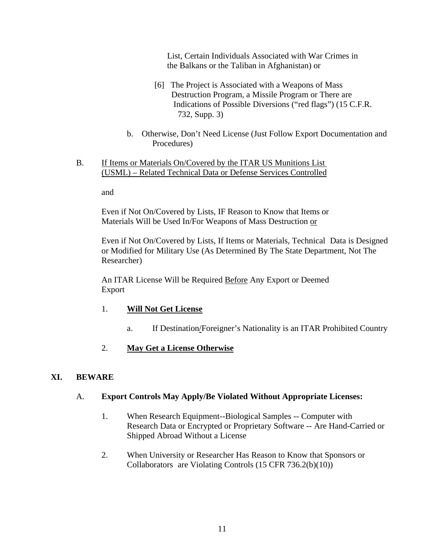List, Certain Individuals Associated with War Crimes in the Balkans or the Taliban in Afghanistan) or

- [6] The Project is Associated with a Weapons of Mass Destruction Program, a Missile Program or There are Indications of Possible Diversions ("red flags") (15 C.F.R. 732, Supp. 3)
- b. Otherwise, Don't Need License (Just Follow Export Documentation and Procedures)
- B. If Items or Materials On/Covered by the ITAR US Munitions List (USML) – Related Technical Data or Defense Services Controlled

and

Even if Not On/Covered by Lists, IF Reason to Know that Items or Materials Will be Used In/For Weapons of Mass Destruction or

Even if Not On/Covered by Lists, If Items or Materials, Technical Data is Designed or Modified for Military Use (As Determined By The State Department, Not The Researcher)

An ITAR License Will be Required Before Any Export or Deemed Export

- 1. **Will Not Get License**
	- a. If Destination/Foreigner's Nationality is an ITAR Prohibited Country
- 2. **May Get a License Otherwise**

### **XI. BEWARE**

#### A. **Export Controls May Apply/Be Violated Without Appropriate Licenses:**

- 1. When Research Equipment--Biological Samples -- Computer with Research Data or Encrypted or Proprietary Software -- Are Hand-Carried or Shipped Abroad Without a License
- 2. When University or Researcher Has Reason to Know that Sponsors or Collaborators are Violating Controls (15 CFR 736.2(b)(10))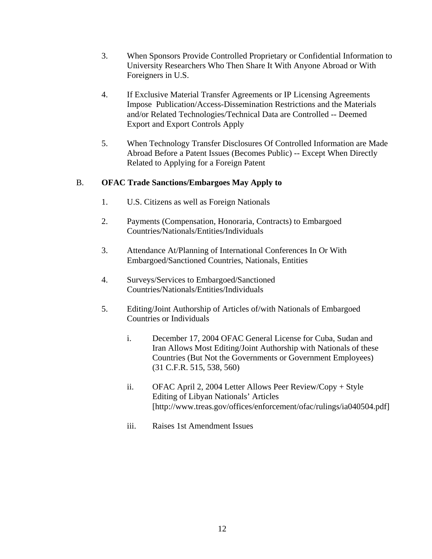- 3. When Sponsors Provide Controlled Proprietary or Confidential Information to University Researchers Who Then Share It With Anyone Abroad or With Foreigners in U.S.
- 4. If Exclusive Material Transfer Agreements or IP Licensing Agreements Impose Publication/Access-Dissemination Restrictions and the Materials and/or Related Technologies/Technical Data are Controlled -- Deemed Export and Export Controls Apply
- 5. When Technology Transfer Disclosures Of Controlled Information are Made Abroad Before a Patent Issues (Becomes Public) -- Except When Directly Related to Applying for a Foreign Patent

# B. **OFAC Trade Sanctions/Embargoes May Apply to**

- 1. U.S. Citizens as well as Foreign Nationals
- 2. Payments (Compensation, Honoraria, Contracts) to Embargoed Countries/Nationals/Entities/Individuals
- 3. Attendance At/Planning of International Conferences In Or With Embargoed/Sanctioned Countries, Nationals, Entities
- 4. Surveys/Services to Embargoed/Sanctioned Countries/Nationals/Entities/Individuals
- 5. Editing/Joint Authorship of Articles of/with Nationals of Embargoed Countries or Individuals
	- i. December 17, 2004 OFAC General License for Cuba, Sudan and Iran Allows Most Editing/Joint Authorship with Nationals of these Countries (But Not the Governments or Government Employees) (31 C.F.R. 515, 538, 560)
	- ii. OFAC April 2, 2004 Letter Allows Peer Review/Copy + Style Editing of Libyan Nationals' Articles [http://www.treas.gov/offices/enforcement/ofac/rulings/ia040504.pdf]
	- iii. Raises 1st Amendment Issues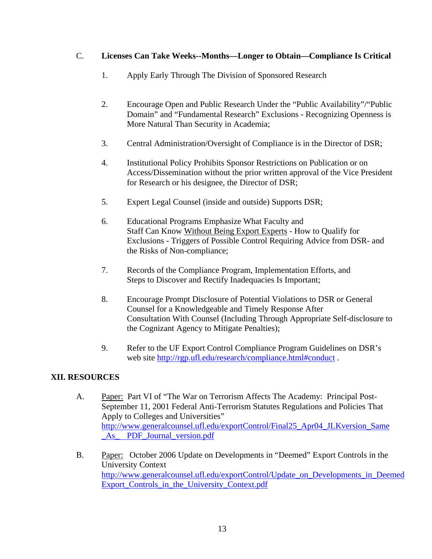### C. **Licenses Can Take Weeks--Months—Longer to Obtain—Compliance Is Critical**

- 1. Apply Early Through The Division of Sponsored Research
- 2. Encourage Open and Public Research Under the "Public Availability"/"Public Domain" and "Fundamental Research" Exclusions - Recognizing Openness is More Natural Than Security in Academia;
- 3. Central Administration/Oversight of Compliance is in the Director of DSR;
- 4. Institutional Policy Prohibits Sponsor Restrictions on Publication or on Access/Dissemination without the prior written approval of the Vice President for Research or his designee, the Director of DSR;
- 5. Expert Legal Counsel (inside and outside) Supports DSR;
- 6. Educational Programs Emphasize What Faculty and Staff Can Know Without Being Export Experts - How to Qualify for Exclusions - Triggers of Possible Control Requiring Advice from DSR- and the Risks of Non-compliance;
- 7. Records of the Compliance Program, Implementation Efforts, and Steps to Discover and Rectify Inadequacies Is Important;
- 8. Encourage Prompt Disclosure of Potential Violations to DSR or General Counsel for a Knowledgeable and Timely Response After Consultation With Counsel (Including Through Appropriate Self-disclosure to the Cognizant Agency to Mitigate Penalties);
- 9. Refer to the UF Export Control Compliance Program Guidelines on DSR's web site<http://rgp.ufl.edu/research/compliance.html#conduct>.

### **XII. RESOURCES**

- A. Paper: Part VI of "The War on Terrorism Affects The Academy: Principal Post-September 11, 2001 Federal Anti-Terrorism Statutes Regulations and Policies That Apply to Colleges and Universities" [http://www.generalcounsel.ufl.edu/exportControl/Final25\\_Apr04\\_JLKversion\\_Same](http://www.generalcounsel.ufl.edu/exportControl/Final25_Apr04_JLKversion_Same_As_PDF_Journal) \_As\_ [PDF\\_Journal](http://www.generalcounsel.ufl.edu/exportControl/Final25_Apr04_JLKversion_Same_As_PDF_Journal)[\\_version.pdf](http://web.mit.edu/srcounsel/resource/Final25_Apr04_JLKversion_Same_As_PDF_Journal_version.pdf)
- B. Paper: October 2006 Update on Developments in "Deemed" Export Controls in the University Context [http://www.generalcounsel.ufl.edu/exportControl/Update\\_on\\_Developments\\_in\\_Deemed](http://www.generalcounsel.ufl.edu/exportControl/Update_on_Developments_in_Deemed_Export_Controls_in_the_University_Context.pdf) [Export\\_Controls\\_in\\_the\\_University\\_Context.pdf](http://www.generalcounsel.ufl.edu/exportControl/Update_on_Developments_in_Deemed_Export_Controls_in_the_University_Context.pdf)